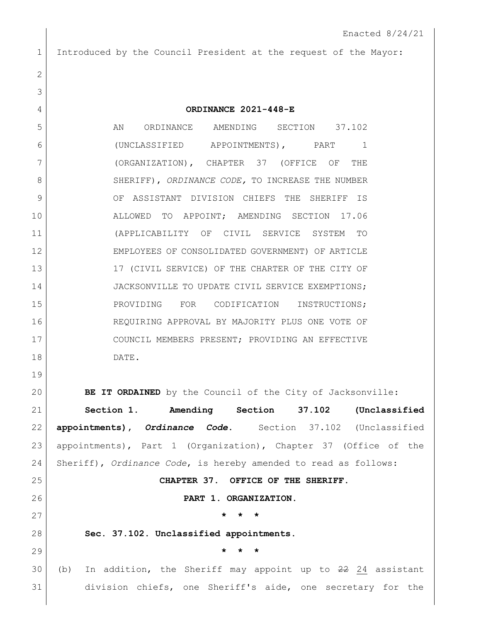## 1 Introduced by the Council President at the request of the Mayor:

| $\mathbf{2}$ |                                                                   |
|--------------|-------------------------------------------------------------------|
| 3            |                                                                   |
| 4            | ORDINANCE 2021-448-E                                              |
| 5            | AN ORDINANCE AMENDING SECTION 37.102                              |
| 6            | (UNCLASSIFIED APPOINTMENTS), PART 1                               |
| 7            | (ORGANIZATION), CHAPTER 37 (OFFICE OF<br>THE                      |
| 8            | SHERIFF), ORDINANCE CODE, TO INCREASE THE NUMBER                  |
| 9            | OF ASSISTANT DIVISION CHIEFS THE SHERIFF IS                       |
| 10           | ALLOWED TO APPOINT; AMENDING SECTION 17.06                        |
| 11           | (APPLICABILITY OF CIVIL SERVICE SYSTEM TO                         |
| 12           | EMPLOYEES OF CONSOLIDATED GOVERNMENT) OF ARTICLE                  |
| 13           | 17 (CIVIL SERVICE) OF THE CHARTER OF THE CITY OF                  |
| 14           | JACKSONVILLE TO UPDATE CIVIL SERVICE EXEMPTIONS;                  |
| 15           | PROVIDING FOR CODIFICATION INSTRUCTIONS;                          |
| 16           | REQUIRING APPROVAL BY MAJORITY PLUS ONE VOTE OF                   |
| 17           | COUNCIL MEMBERS PRESENT; PROVIDING AN EFFECTIVE                   |
| 18           | DATE.                                                             |
| 19           |                                                                   |
| 20           | BE IT ORDAINED by the Council of the City of Jacksonville:        |
| 21           | Section 1. Amending Section<br>37.102 (Unclassified               |
| 22           | appointments), Ordinance Code. Section 37.102 (Unclassified       |
| 23           | appointments), Part 1 (Organization), Chapter 37 (Office of the   |
| 24           | Sheriff), Ordinance Code, is hereby amended to read as follows:   |
| 25           | CHAPTER 37. OFFICE OF THE SHERIFF.                                |
| 26           | PART 1. ORGANIZATION.                                             |
| 27           | *<br>$\star$<br>*                                                 |
| 28           | Sec. 37.102. Unclassified appointments.                           |
| 29           | *                                                                 |
| 30           | In addition, the Sheriff may appoint up to 22 24 assistant<br>(b) |
| 31           | division chiefs, one Sheriff's aide, one secretary for the        |
|              |                                                                   |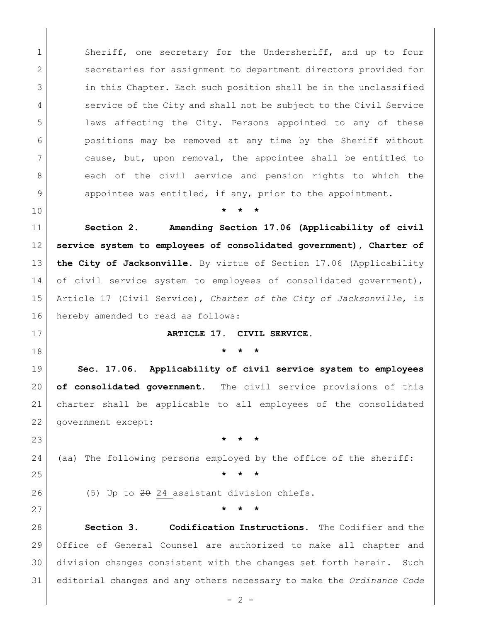1 Sheriff, one secretary for the Undersheriff, and up to four 2 secretaries for assignment to department directors provided for 3 in this Chapter. Each such position shall be in the unclassified 4 Service of the City and shall not be subject to the Civil Service laws affecting the City. Persons appointed to any of these positions may be removed at any time by the Sheriff without cause, but, upon removal, the appointee shall be entitled to 8 each of the civil service and pension rights to which the 9 appointee was entitled, if any, prior to the appointment.

**\* \* \***

 **Section 2. Amending Section 17.06 (Applicability of civil service system to employees of consolidated government), Charter of the City of Jacksonville.** By virtue of Section 17.06 (Applicability 14 of civil service system to employees of consolidated government), Article 17 (Civil Service), *Charter of the City of Jacksonville*, is 16 hereby amended to read as follows:

**ARTICLE 17. CIVIL SERVICE.**

**\* \* \***

 **Sec. 17.06. Applicability of civil service system to employees of consolidated government.** The civil service provisions of this charter shall be applicable to all employees of the consolidated government except:

**\* \* \***

(aa) The following persons employed by the office of the sheriff:

**\* \* \***

26 (5) Up to 24 assistant division chiefs.

**\* \* \***

 **Section 3. Codification Instructions.** The Codifier and the Office of General Counsel are authorized to make all chapter and division changes consistent with the changes set forth herein. Such editorial changes and any others necessary to make the *Ordinance Code*

 $-2 -$